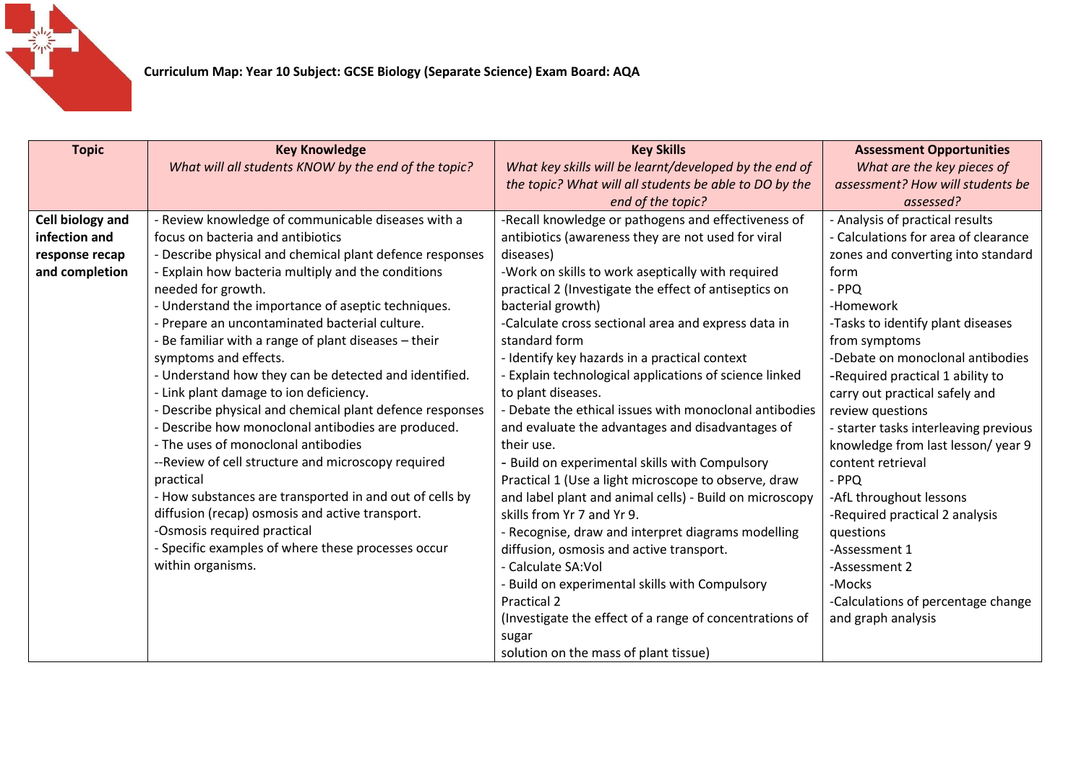

| <b>Topic</b>     | <b>Key Knowledge</b>                                     | <b>Key Skills</b>                                       | <b>Assessment Opportunities</b>       |
|------------------|----------------------------------------------------------|---------------------------------------------------------|---------------------------------------|
|                  | What will all students KNOW by the end of the topic?     | What key skills will be learnt/developed by the end of  | What are the key pieces of            |
|                  |                                                          | the topic? What will all students be able to DO by the  | assessment? How will students be      |
|                  |                                                          | end of the topic?                                       | assessed?                             |
| Cell biology and | - Review knowledge of communicable diseases with a       | -Recall knowledge or pathogens and effectiveness of     | - Analysis of practical results       |
| infection and    | focus on bacteria and antibiotics                        | antibiotics (awareness they are not used for viral      | - Calculations for area of clearance  |
| response recap   | - Describe physical and chemical plant defence responses | diseases)                                               | zones and converting into standard    |
| and completion   | - Explain how bacteria multiply and the conditions       | -Work on skills to work aseptically with required       | form                                  |
|                  | needed for growth.                                       | practical 2 (Investigate the effect of antiseptics on   | $-$ PPQ                               |
|                  | - Understand the importance of aseptic techniques.       | bacterial growth)                                       | -Homework                             |
|                  | - Prepare an uncontaminated bacterial culture.           | -Calculate cross sectional area and express data in     | -Tasks to identify plant diseases     |
|                  | - Be familiar with a range of plant diseases - their     | standard form                                           | from symptoms                         |
|                  | symptoms and effects.                                    | - Identify key hazards in a practical context           | -Debate on monoclonal antibodies      |
|                  | - Understand how they can be detected and identified.    | - Explain technological applications of science linked  | -Required practical 1 ability to      |
|                  | - Link plant damage to ion deficiency.                   | to plant diseases.                                      | carry out practical safely and        |
|                  | - Describe physical and chemical plant defence responses | - Debate the ethical issues with monoclonal antibodies  | review questions                      |
|                  | - Describe how monoclonal antibodies are produced.       | and evaluate the advantages and disadvantages of        | - starter tasks interleaving previous |
|                  | - The uses of monoclonal antibodies                      | their use.                                              | knowledge from last lesson/year 9     |
|                  | --Review of cell structure and microscopy required       | - Build on experimental skills with Compulsory          | content retrieval                     |
|                  | practical                                                | Practical 1 (Use a light microscope to observe, draw    | - PPQ                                 |
|                  | - How substances are transported in and out of cells by  | and label plant and animal cells) - Build on microscopy | -AfL throughout lessons               |
|                  | diffusion (recap) osmosis and active transport.          | skills from Yr 7 and Yr 9.                              | -Required practical 2 analysis        |
|                  | -Osmosis required practical                              | - Recognise, draw and interpret diagrams modelling      | questions                             |
|                  | - Specific examples of where these processes occur       | diffusion, osmosis and active transport.                | -Assessment 1                         |
|                  | within organisms.                                        | - Calculate SA:Vol                                      | -Assessment 2                         |
|                  |                                                          | - Build on experimental skills with Compulsory          | -Mocks                                |
|                  |                                                          | Practical 2                                             | -Calculations of percentage change    |
|                  |                                                          | (Investigate the effect of a range of concentrations of | and graph analysis                    |
|                  |                                                          | sugar                                                   |                                       |
|                  |                                                          | solution on the mass of plant tissue)                   |                                       |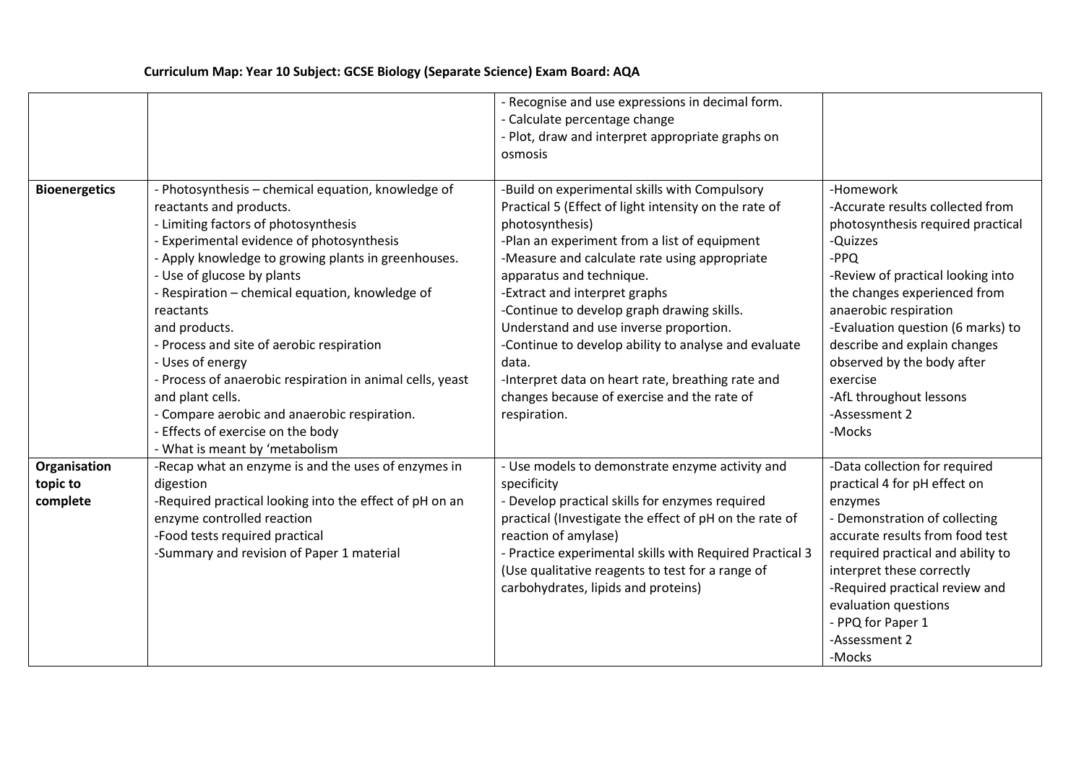## **Curriculum Map: Year 10 Subject: GCSE Biology (Separate Science) Exam Board: AQA**

|                                      |                                                                                                                                                                                                                                                                                                                                                                                                                                                                                                                                                                                                                      | - Recognise and use expressions in decimal form.<br>- Calculate percentage change<br>- Plot, draw and interpret appropriate graphs on<br>osmosis                                                                                                                                                                                                                                                                                                                                                                                                                     |                                                                                                                                                                                                                                                                                                                                                                           |
|--------------------------------------|----------------------------------------------------------------------------------------------------------------------------------------------------------------------------------------------------------------------------------------------------------------------------------------------------------------------------------------------------------------------------------------------------------------------------------------------------------------------------------------------------------------------------------------------------------------------------------------------------------------------|----------------------------------------------------------------------------------------------------------------------------------------------------------------------------------------------------------------------------------------------------------------------------------------------------------------------------------------------------------------------------------------------------------------------------------------------------------------------------------------------------------------------------------------------------------------------|---------------------------------------------------------------------------------------------------------------------------------------------------------------------------------------------------------------------------------------------------------------------------------------------------------------------------------------------------------------------------|
| <b>Bioenergetics</b>                 | - Photosynthesis - chemical equation, knowledge of<br>reactants and products.<br>- Limiting factors of photosynthesis<br><b>Experimental evidence of photosynthesis</b><br>- Apply knowledge to growing plants in greenhouses.<br>- Use of glucose by plants<br>- Respiration - chemical equation, knowledge of<br>reactants<br>and products.<br>- Process and site of aerobic respiration<br>- Uses of energy<br>- Process of anaerobic respiration in animal cells, yeast<br>and plant cells.<br>- Compare aerobic and anaerobic respiration.<br>Effects of exercise on the body<br>- What is meant by 'metabolism | -Build on experimental skills with Compulsory<br>Practical 5 (Effect of light intensity on the rate of<br>photosynthesis)<br>-Plan an experiment from a list of equipment<br>-Measure and calculate rate using appropriate<br>apparatus and technique.<br>-Extract and interpret graphs<br>-Continue to develop graph drawing skills.<br>Understand and use inverse proportion.<br>-Continue to develop ability to analyse and evaluate<br>data.<br>-Interpret data on heart rate, breathing rate and<br>changes because of exercise and the rate of<br>respiration. | -Homework<br>-Accurate results collected from<br>photosynthesis required practical<br>-Quizzes<br>-PPQ<br>-Review of practical looking into<br>the changes experienced from<br>anaerobic respiration<br>-Evaluation question (6 marks) to<br>describe and explain changes<br>observed by the body after<br>exercise<br>-AfL throughout lessons<br>-Assessment 2<br>-Mocks |
| Organisation<br>topic to<br>complete | -Recap what an enzyme is and the uses of enzymes in<br>digestion<br>-Required practical looking into the effect of pH on an<br>enzyme controlled reaction<br>-Food tests required practical<br>-Summary and revision of Paper 1 material                                                                                                                                                                                                                                                                                                                                                                             | - Use models to demonstrate enzyme activity and<br>specificity<br>- Develop practical skills for enzymes required<br>practical (Investigate the effect of pH on the rate of<br>reaction of amylase)<br>- Practice experimental skills with Required Practical 3<br>(Use qualitative reagents to test for a range of<br>carbohydrates, lipids and proteins)                                                                                                                                                                                                           | -Data collection for required<br>practical 4 for pH effect on<br>enzymes<br>- Demonstration of collecting<br>accurate results from food test<br>required practical and ability to<br>interpret these correctly<br>-Required practical review and<br>evaluation questions<br>- PPQ for Paper 1<br>-Assessment 2<br>-Mocks                                                  |